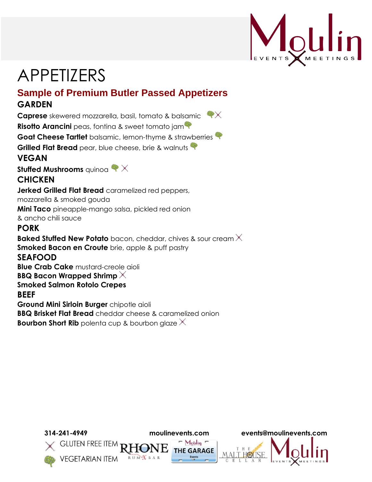

# APPETIZERS

### **Sample of Premium Butler Passed Appetizers GARDEN**

**Caprese** skewered mozzarella, basil, tomato & balsamic **Risotto Arancini** peas, fontina & sweet tomato jam **Goat Cheese Tartlet** balsamic, lemon-thyme & strawberries **Grilled Flat Bread** pear, blue cheese, brie & walnuts **VEGAN**

**Stuffed Mushrooms** quinoa  $\blacklozenge \times$ 

#### **CHICKEN**

**Jerked Grilled Flat Bread** caramelized red peppers,

mozzarella & smoked gouda

**Mini Taco** pineapple-mango salsa, pickled red onion

& ancho chili sauce

#### **PORK**

**Baked Stuffed New Potato** bacon, cheddar, chives & sour cream X **Smoked Bacon en Croute** brie, apple & puff pastry **SEAFOOD Blue Crab Cake** mustard-creole aioli **BBQ Bacon Wrapped Shrimp Smoked Salmon Rotolo Crepes BEEF Ground Mini Sirloin Burger** chipotle aioli **BBQ Brisket Flat Bread** cheddar cheese & caramelized onion **Bourbon Short Rib** polenta cup & bourbon glaze  $\times$